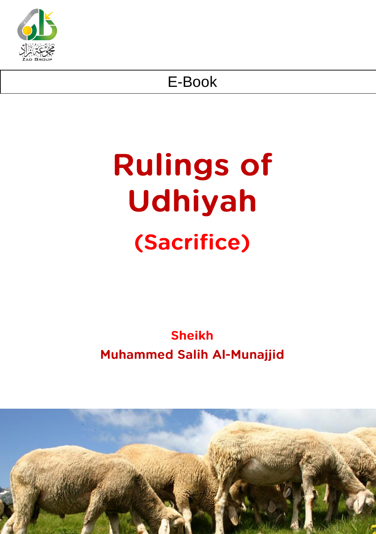

## E-Book

# **Rulings of** Udhiyah (Sacrifice)

## **Sheikh Muhammed Salih Al-Munajjid**

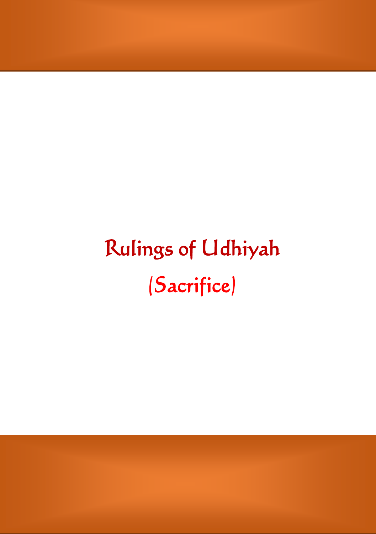## Rulings of Udhiyah (Sacrifice)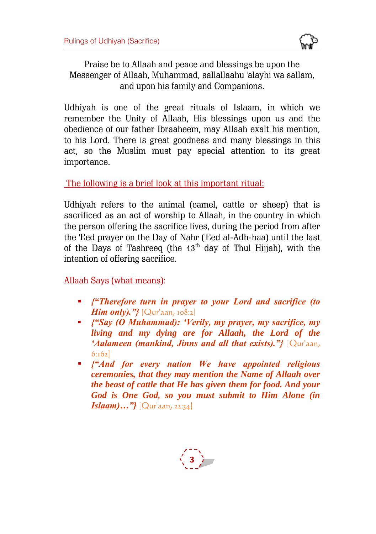

Praise be to Allaah and peace and blessings be upon the Messenger of Allaah, Muhammad, sallallaahu 'alayhi wa sallam, and upon his family and Companions.

Udhiyah is one of the great rituals of Islaam, in which we remember the Unity of Allaah, His blessings upon us and the obedience of our father Ibraaheem, may Allaah exalt his mention, to his Lord. There is great goodness and many blessings in this act, so the Muslim must pay special attention to its great importance.

The following is a brief look at this important ritual:

Udhiyah refers to the animal (camel, cattle or sheep) that is sacrificed as an act of worship to Allaah, in the country in which the person offering the sacrifice lives, during the period from after the 'Eed prayer on the Day of Nahr ('Eed al-Adh-haa) until the last of the Days of Tashreeq (the  $13<sup>th</sup>$  day of Thul Hijjah), with the intention of offering sacrifice.

Allaah Says (what means):

- *{"Therefore turn in prayer to your Lord and sacrifice (to Him only).*"}<sup>[Qur'aan, 108:2]</sup>
- *{"Say (O Muhammad): 'Verily, my prayer, my sacrifice, my living and my dying are for Allaah, the Lord of the 'Aalameen (mankind, Jinns and all that exists)."}* [Qur'aan, 6:162]
- *{"And for every nation We have appointed religious ceremonies, that they may mention the Name of Allaah over the beast of cattle that He has given them for food. And your God is One God, so you must submit to Him Alone (in Islaam)…"}* [Qur'aan, 22:34]

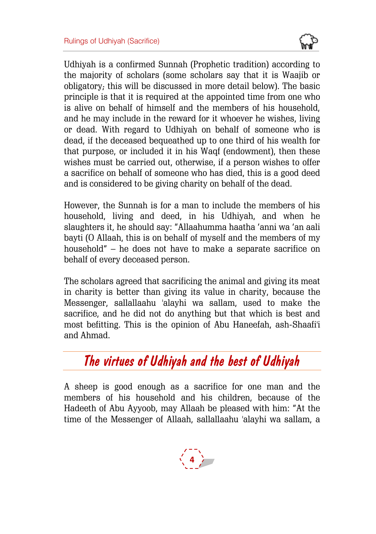

Udhiyah is a confirmed Sunnah (Prophetic tradition) according to the majority of scholars (some scholars say that it is Waajib or obligatory; this will be discussed in more detail below). The basic principle is that it is required at the appointed time from one who is alive on behalf of himself and the members of his household, and he may include in the reward for it whoever he wishes, living or dead. With regard to Udhiyah on behalf of someone who is dead, if the deceased bequeathed up to one third of his wealth for that purpose, or included it in his Waqf (endowment), then these wishes must be carried out, otherwise, if a person wishes to offer a sacrifice on behalf of someone who has died, this is a good deed and is considered to be giving charity on behalf of the dead.

However, the Sunnah is for a man to include the members of his household, living and deed, in his Udhiyah, and when he slaughters it, he should say: "Allaahumma haatha 'anni wa 'an aali bayti (O Allaah, this is on behalf of myself and the members of my household" – he does not have to make a separate sacrifice on behalf of every deceased person.

The scholars agreed that sacrificing the animal and giving its meat in charity is better than giving its value in charity, because the Messenger, sallallaahu 'alayhi wa sallam, used to make the sacrifice, and he did not do anything but that which is best and most befitting. This is the opinion of Abu Haneefah, ash-Shaafi'i and Ahmad.

## *The virtues of Udhiyah and the best of Udhiyah*

A sheep is good enough as a sacrifice for one man and the members of his household and his children, because of the Hadeeth of Abu Ayyoob, may Allaah be pleased with him: "At the time of the Messenger of Allaah, sallallaahu 'alayhi wa sallam, a

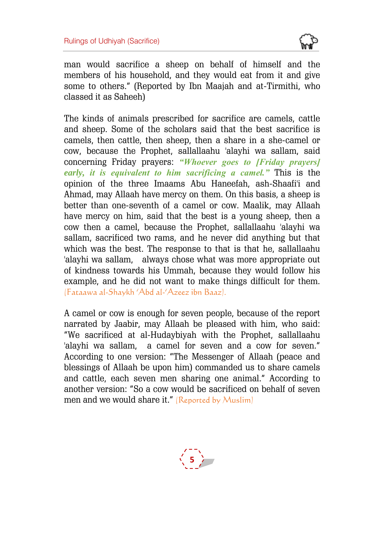

man would sacrifice a sheep on behalf of himself and the members of his household, and they would eat from it and give some to others." (Reported by Ibn Maajah and at-Tirmithi, who classed it as Saheeh)

The kinds of animals prescribed for sacrifice are camels, cattle and sheep. Some of the scholars said that the best sacrifice is camels, then cattle, then sheep, then a share in a she-camel or cow, because the Prophet, sallallaahu 'alayhi wa sallam, said concerning Friday prayers: *"Whoever goes to [Friday prayers] early, it is equivalent to him sacrificing a camel."* This is the opinion of the three Imaams Abu Haneefah, ash-Shaafi'i and Ahmad, may Allaah have mercy on them. On this basis, a sheep is better than one-seventh of a camel or cow. Maalik, may Allaah have mercy on him, said that the best is a young sheep, then a cow then a camel, because the Prophet, sallallaahu 'alayhi wa sallam, sacrificed two rams, and he never did anything but that which was the best. The response to that is that he, sallallaahu 'alayhi wa sallam, always chose what was more appropriate out of kindness towards his Ummah, because they would follow his example, and he did not want to make things difficult for them. (Fataawa al-Shaykh 'Abd al-'Azeez ibn Baaz).

A camel or cow is enough for seven people, because of the report narrated by Jaabir, may Allaah be pleased with him, who said: "We sacrificed at al-Hudaybiyah with the Prophet, sallallaahu 'alayhi wa sallam, a camel for seven and a cow for seven." According to one version: "The Messenger of Allaah (peace and blessings of Allaah be upon him) commanded us to share camels and cattle, each seven men sharing one animal." According to another version: "So a cow would be sacrificed on behalf of seven men and we would share it." (Reported by Muslim)

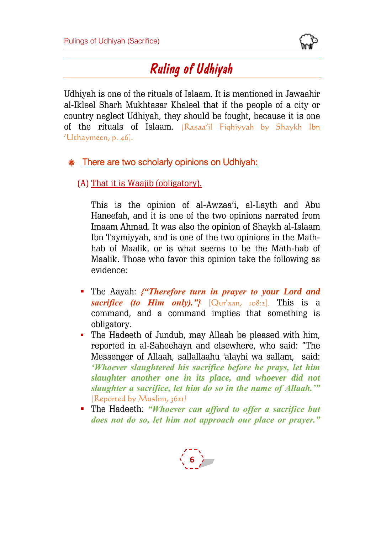

## *Ruling of Udhiyah*

Udhiyah is one of the rituals of Islaam. It is mentioned in Jawaahir al-Ikleel Sharh Mukhtasar Khaleel that if the people of a city or country neglect Udhiyah, they should be fought, because it is one of the rituals of Islaam. (Rasaa'il Fiqhiyyah by Shaykh Ibn 'Uthaymeen, p. 46).

#### **SET There are two scholarly opinions on Udhiyah:**

#### (A) That it is Waajib (obligatory).

This is the opinion of al-Awzaa'i, al-Layth and Abu Haneefah, and it is one of the two opinions narrated from Imaam Ahmad. It was also the opinion of Shaykh al-Islaam Ibn Taymiyyah, and is one of the two opinions in the Mathhab of Maalik, or is what seems to be the Math-hab of Maalik. Those who favor this opinion take the following as evidence:

- The Aayah: *{"Therefore turn in prayer to your Lord and sacrifice (to Him only)."}* [Qur'aan, 108:2]. This is a command, and a command implies that something is obligatory.
- The Hadeeth of Jundub, may Allaah be pleased with him, reported in al-Saheehayn and elsewhere, who said: "The Messenger of Allaah, sallallaahu 'alayhi wa sallam, said: *'Whoever slaughtered his sacrifice before he prays, let him slaughter another one in its place, and whoever did not slaughter a sacrifice, let him do so in the name of Allaah.'"* (Reported by Muslim, 3621)
- The Hadeeth: *"Whoever can afford to offer a sacrifice but does not do so, let him not approach our place or prayer."*

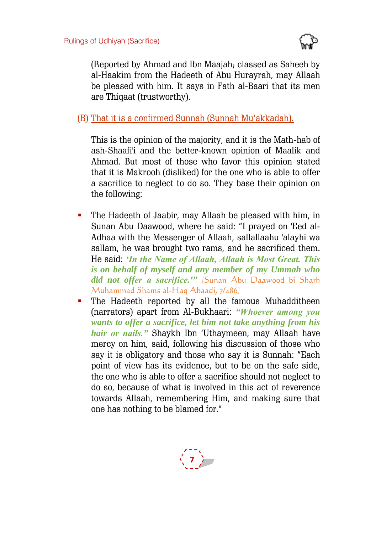

(Reported by Ahmad and Ibn Maajah; classed as Saheeh by al-Haakim from the Hadeeth of Abu Hurayrah, may Allaah be pleased with him. It says in Fath al-Baari that its men are Thiqaat (trustworthy).

(B) That it is a confirmed Sunnah (Sunnah Mu'akkadah).

This is the opinion of the majority, and it is the Math-hab of ash-Shaafi'i and the better-known opinion of Maalik and Ahmad. But most of those who favor this opinion stated that it is Makrooh (disliked) for the one who is able to offer a sacrifice to neglect to do so. They base their opinion on the following:

- The Hadeeth of Jaabir, may Allaah be pleased with him, in Sunan Abu Daawood, where he said: "I prayed on 'Eed al-Adhaa with the Messenger of Allaah, sallallaahu 'alayhi wa sallam, he was brought two rams, and he sacrificed them. He said: *'In the Name of Allaah, Allaah is Most Great. This is on behalf of myself and any member of my Ummah who did not offer a sacrifice.'"* (Sunan Abu Daawood bi Sharh Muhammad Shams al-Haq Abaadi, 7/486)
- **The Hadeeth reported by all the famous Muhadditheen** (narrators) apart from Al-Bukhaari: *"Whoever among you wants to offer a sacrifice, let him not take anything from his hair or nails."* Shaykh Ibn 'Uthaymeen, may Allaah have mercy on him, said, following his discussion of those who say it is obligatory and those who say it is Sunnah: "Each point of view has its evidence, but to be on the safe side, the one who is able to offer a sacrifice should not neglect to do so, because of what is involved in this act of reverence towards Allaah, remembering Him, and making sure that one has nothing to be blamed for."

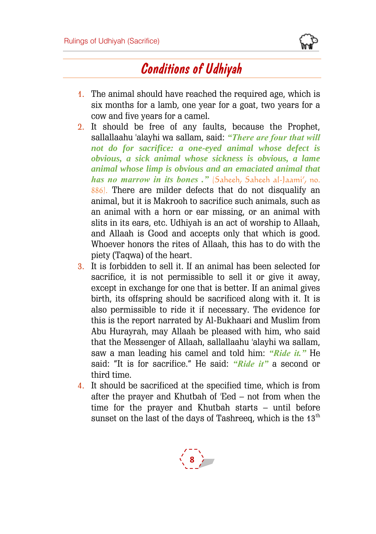

## *Conditions of Udhiyah*

- 1. The animal should have reached the required age, which is six months for a lamb, one year for a goat, two years for a cow and five years for a camel.
- 2. It should be free of any faults, because the Prophet, sallallaahu 'alayhi wa sallam, said: *"There are four that will not do for sacrifice: a one-eyed animal whose defect is obvious, a sick animal whose sickness is obvious, a lame animal whose limp is obvious and an emaciated animal that has no marrow in its bones ."* (Saheeh, Saheeh al-Jaami', no. 886). There are milder defects that do not disqualify an animal, but it is Makrooh to sacrifice such animals, such as an animal with a horn or ear missing, or an animal with slits in its ears, etc. Udhiyah is an act of worship to Allaah, and Allaah is Good and accepts only that which is good. Whoever honors the rites of Allaah, this has to do with the piety (Taqwa) of the heart.
- 3. It is forbidden to sell it. If an animal has been selected for sacrifice, it is not permissible to sell it or give it away, except in exchange for one that is better. If an animal gives birth, its offspring should be sacrificed along with it. It is also permissible to ride it if necessary. The evidence for this is the report narrated by Al-Bukhaari and Muslim from Abu Hurayrah, may Allaah be pleased with him, who said that the Messenger of Allaah, sallallaahu 'alayhi wa sallam, saw a man leading his camel and told him: *"Ride it."* He said: "It is for sacrifice." He said: *"Ride it"* a second or third time.
- 4. It should be sacrificed at the specified time, which is from after the prayer and Khutbah of 'Eed – not from when the time for the prayer and Khutbah starts – until before sunset on the last of the days of Tashreeq, which is the  $13<sup>th</sup>$

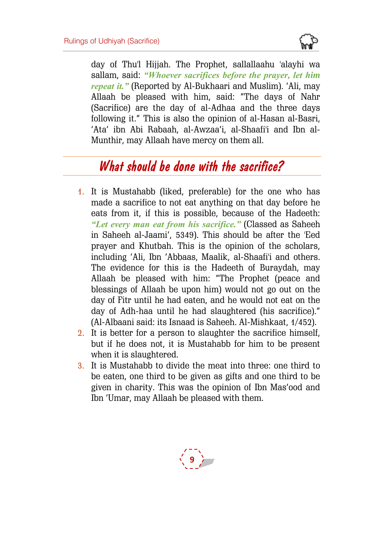

day of Thu'l Hijjah. The Prophet, sallallaahu 'alayhi wa sallam, said: *"Whoever sacrifices before the prayer, let him repeat it."* (Reported by Al-Bukhaari and Muslim). 'Ali, may Allaah be pleased with him, said: "The days of Nahr (Sacrifice) are the day of al-Adhaa and the three days following it." This is also the opinion of al-Hasan al-Basri, 'Ata' ibn Abi Rabaah, al-Awzaa'i, al-Shaafi'i and Ibn al-Munthir, may Allaah have mercy on them all.

## *What should be done with the sacrifice?*

- 1. It is Mustahabb (liked, preferable) for the one who has made a sacrifice to not eat anything on that day before he eats from it, if this is possible, because of the Hadeeth: *"Let every man eat from his sacrifice."* (Classed as Saheeh in Saheeh al-Jaami', 5349). This should be after the 'Eed prayer and Khutbah. This is the opinion of the scholars, including 'Ali, Ibn 'Abbaas, Maalik, al-Shaafi'i and others. The evidence for this is the Hadeeth of Buraydah, may Allaah be pleased with him: "The Prophet (peace and blessings of Allaah be upon him) would not go out on the day of Fitr until he had eaten, and he would not eat on the day of Adh-haa until he had slaughtered (his sacrifice)." (Al-Albaani said: its Isnaad is Saheeh. Al-Mishkaat, 1/452).
- 2. It is better for a person to slaughter the sacrifice himself, but if he does not, it is Mustahabb for him to be present when it is slaughtered.
- 3. It is Mustahabb to divide the meat into three: one third to be eaten, one third to be given as gifts and one third to be given in charity. This was the opinion of Ibn Mas'ood and Ibn 'Umar, may Allaah be pleased with them.

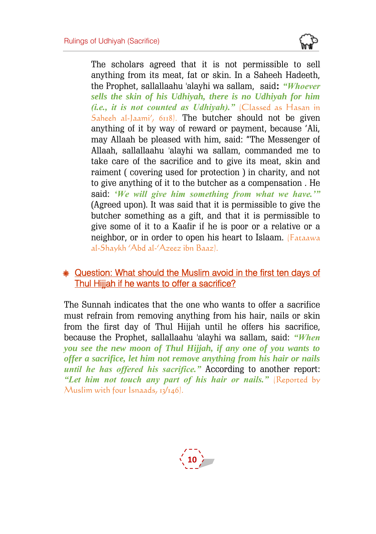

The scholars agreed that it is not permissible to sell anything from its meat, fat or skin. In a Saheeh Hadeeth, the Prophet, sallallaahu 'alayhi wa sallam, said**:** *"Whoever sells the skin of his Udhiyah, there is no Udhiyah for him (i.e., it is not counted as Udhiyah)."* (Classed as Hasan in Saheeh al-Jaami', 6118. The butcher should not be given anything of it by way of reward or payment, because 'Ali, may Allaah be pleased with him, said: "The Messenger of Allaah, sallallaahu 'alayhi wa sallam, commanded me to take care of the sacrifice and to give its meat, skin and raiment ( covering used for protection ) in charity, and not to give anything of it to the butcher as a compensation . He said: *'We will give him something from what we have.'"* (Agreed upon). It was said that it is permissible to give the butcher something as a gift, and that it is permissible to give some of it to a Kaafir if he is poor or a relative or a neighbor, or in order to open his heart to Islaam. (Fataawa al-Shaykh 'Abd al-'Azeez ibn Baaz).

#### **Question: What should the Muslim avoid in the first ten davs of** Thul Hijjah if he wants to offer a sacrifice?

The Sunnah indicates that the one who wants to offer a sacrifice must refrain from removing anything from his hair, nails or skin from the first day of Thul Hijjah until he offers his sacrifice, because the Prophet, sallallaahu 'alayhi wa sallam, said: *"When you see the new moon of Thul Hijjah, if any one of you wants to offer a sacrifice, let him not remove anything from his hair or nails until he has offered his sacrifice."* According to another report: *"Let him not touch any part of his hair or nails."* (Reported by Muslim with four Isnaads,  $13/146$ .

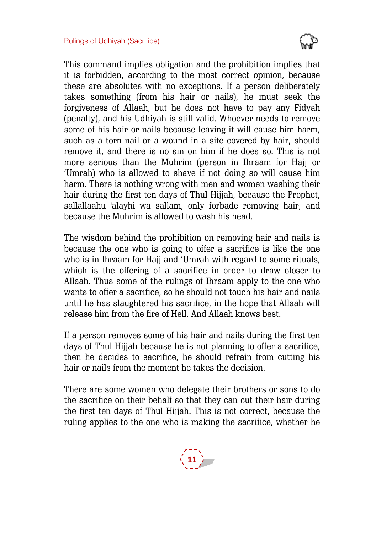

This command implies obligation and the prohibition implies that it is forbidden, according to the most correct opinion, because these are absolutes with no exceptions. If a person deliberately takes something (from his hair or nails), he must seek the forgiveness of Allaah, but he does not have to pay any Fidyah (penalty), and his Udhiyah is still valid. Whoever needs to remove some of his hair or nails because leaving it will cause him harm, such as a torn nail or a wound in a site covered by hair, should remove it, and there is no sin on him if he does so. This is not more serious than the Muhrim (person in Ihraam for Hajj or 'Umrah) who is allowed to shave if not doing so will cause him harm. There is nothing wrong with men and women washing their hair during the first ten days of Thul Hijjah, because the Prophet, sallallaahu 'alayhi wa sallam, only forbade removing hair, and because the Muhrim is allowed to wash his head.

The wisdom behind the prohibition on removing hair and nails is because the one who is going to offer a sacrifice is like the one who is in Ihraam for Hajj and 'Umrah with regard to some rituals, which is the offering of a sacrifice in order to draw closer to Allaah. Thus some of the rulings of Ihraam apply to the one who wants to offer a sacrifice, so he should not touch his hair and nails until he has slaughtered his sacrifice, in the hope that Allaah will release him from the fire of Hell. And Allaah knows best.

If a person removes some of his hair and nails during the first ten days of Thul Hijjah because he is not planning to offer a sacrifice. then he decides to sacrifice, he should refrain from cutting his hair or nails from the moment he takes the decision.

There are some women who delegate their brothers or sons to do the sacrifice on their behalf so that they can cut their hair during the first ten days of Thul Hijjah. This is not correct, because the ruling applies to the one who is making the sacrifice, whether he